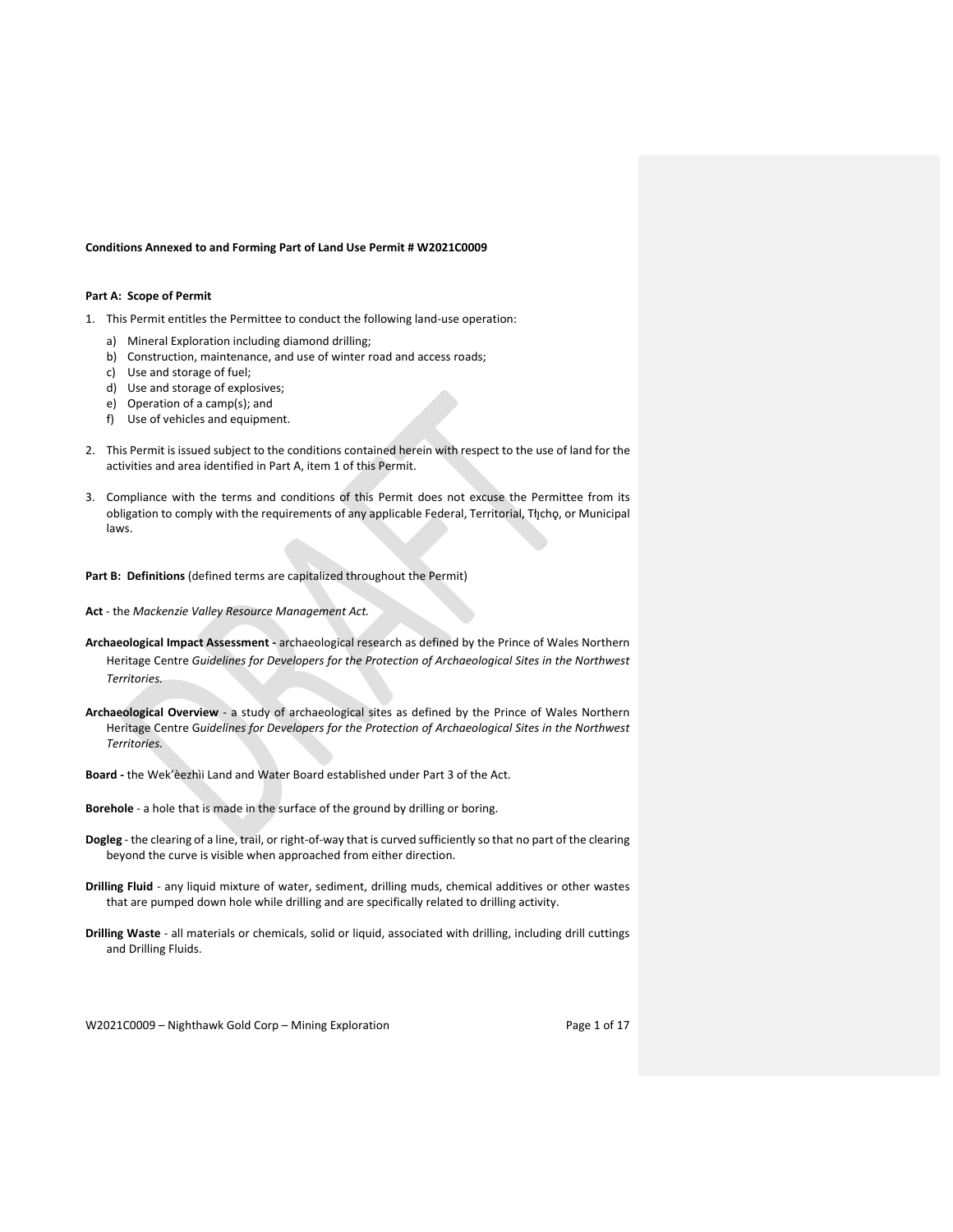#### **Conditions Annexed to and Forming Part of Land Use Permit # W2021C0009**

### **Part A: Scope of Permit**

- 1. This Permit entitles the Permittee to conduct the following land‐use operation:
	- a) Mineral Exploration including diamond drilling;
	- b) Construction, maintenance, and use of winter road and access roads;
	- c) Use and storage of fuel;
	- d) Use and storage of explosives;
	- e) Operation of a camp(s); and
	- f) Use of vehicles and equipment.
- 2. This Permit is issued subject to the conditions contained herein with respect to the use of land for the activities and area identified in Part A, item 1 of this Permit.
- 3. Compliance with the terms and conditions of this Permit does not excuse the Permittee from its obligation to comply with the requirements of any applicable Federal, Territorial, Tłįchǫ, or Municipal laws.

**Part B: Definitions** (defined terms are capitalized throughout the Permit)

- **Act** ‐ the *Mackenzie Valley Resource Management Act.*
- **Archaeological Impact Assessment ‐** archaeological research as defined by the Prince of Wales Northern Heritage Centre *Guidelines for Developers for the Protection of Archaeological Sites in the Northwest Territories.*
- **Archaeological Overview** ‐ a study of archaeological sites as defined by the Prince of Wales Northern Heritage Centre G*uidelines for Developers for the Protection of Archaeological Sites in the Northwest Territories.*
- **Board ‐** the Wek'èezhìi Land and Water Board established under Part 3 of the Act.

**Borehole** ‐ a hole that is made in the surface of the ground by drilling or boring.

- **Dogleg** ‐ the clearing of a line, trail, or right‐of‐way that is curved sufficiently so that no part of the clearing beyond the curve is visible when approached from either direction.
- **Drilling Fluid** ‐ any liquid mixture of water, sediment, drilling muds, chemical additives or other wastes that are pumped down hole while drilling and are specifically related to drilling activity.
- **Drilling Waste** ‐ all materials or chemicals, solid or liquid, associated with drilling, including drill cuttings and Drilling Fluids.

W2021C0009 - Nighthawk Gold Corp - Mining Exploration Page 1 of 17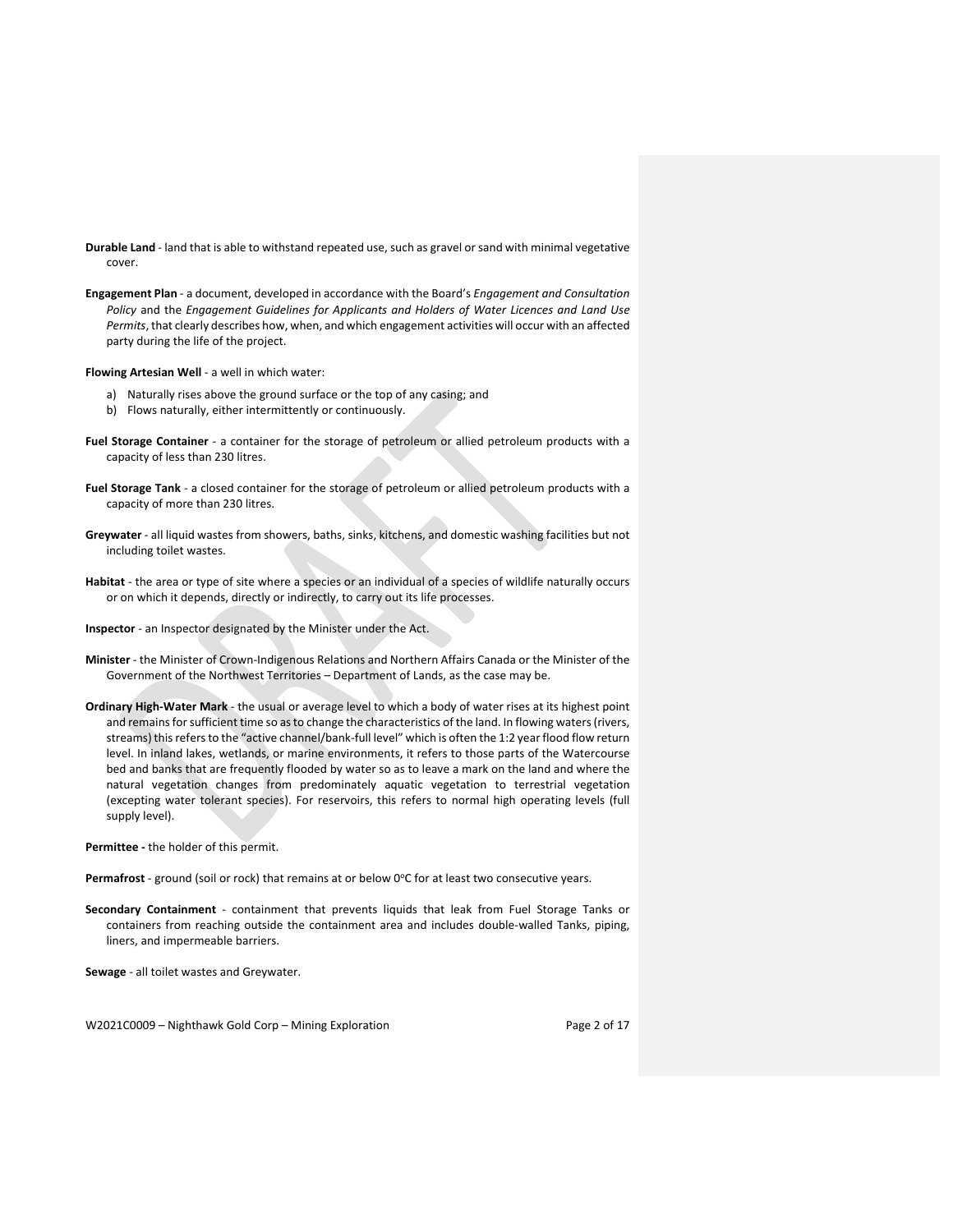- **Durable Land** ‐ land that is able to withstand repeated use, such as gravel orsand with minimal vegetative cover.
- **Engagement Plan** ‐ a document, developed in accordance with the Board's *Engagement and Consultation Policy* and the *Engagement Guidelines for Applicants and Holders of Water Licences and Land Use Permits*, that clearly describes how, when, and which engagement activities will occur with an affected party during the life of the project.

**Flowing Artesian Well** ‐ a well in which water:

- a) Naturally rises above the ground surface or the top of any casing; and
- b) Flows naturally, either intermittently or continuously.
- **Fuel Storage Container** ‐ a container for the storage of petroleum or allied petroleum products with a capacity of less than 230 litres.
- **Fuel Storage Tank** ‐ a closed container for the storage of petroleum or allied petroleum products with a capacity of more than 230 litres.
- **Greywater** ‐ all liquid wastes from showers, baths, sinks, kitchens, and domestic washing facilities but not including toilet wastes.
- **Habitat** ‐ the area or type of site where a species or an individual of a species of wildlife naturally occurs or on which it depends, directly or indirectly, to carry out its life processes.
- **Inspector** ‐ an Inspector designated by the Minister under the Act.
- **Minister** ‐ the Minister of Crown‐Indigenous Relations and Northern Affairs Canada or the Minister of the Government of the Northwest Territories – Department of Lands, as the case may be.
- **Ordinary High‐Water Mark** ‐ the usual or average level to which a body of water rises at its highest point and remains for sufficient time so as to change the characteristics of the land. In flowing waters (rivers, streams) this refers to the "active channel/bank-full level" which is often the 1:2 year flood flow return level. In inland lakes, wetlands, or marine environments, it refers to those parts of the Watercourse bed and banks that are frequently flooded by water so as to leave a mark on the land and where the natural vegetation changes from predominately aquatic vegetation to terrestrial vegetation (excepting water tolerant species). For reservoirs, this refers to normal high operating levels (full supply level).

**Permittee ‐** the holder of this permit.

Permafrost - ground (soil or rock) that remains at or below 0°C for at least two consecutive years.

**Secondary Containment** ‐ containment that prevents liquids that leak from Fuel Storage Tanks or containers from reaching outside the containment area and includes double-walled Tanks, piping, liners, and impermeable barriers.

**Sewage** ‐ all toilet wastes and Greywater.

W2021C0009 - Nighthawk Gold Corp - Mining Exploration Page 2 of 17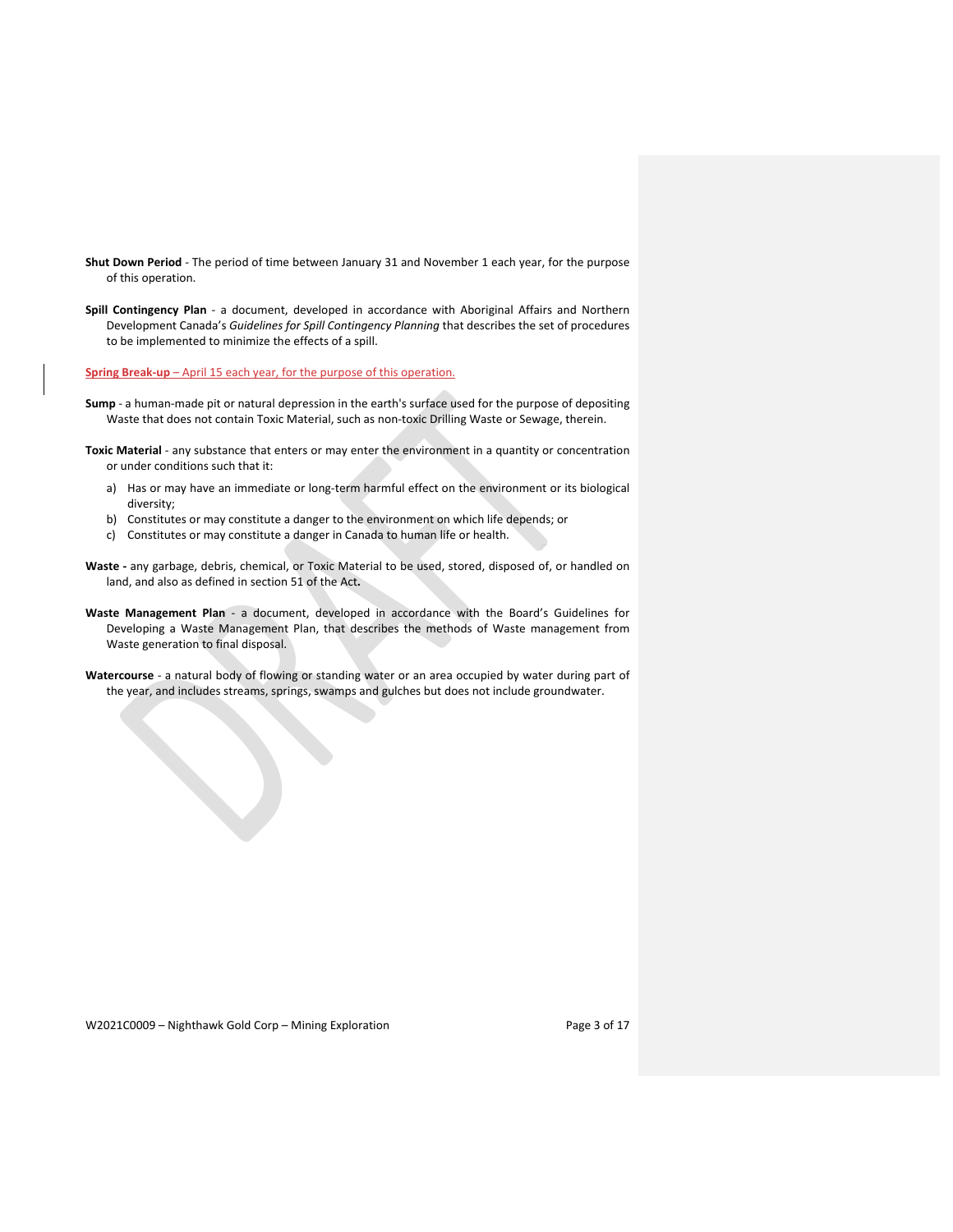- **Shut Down Period** ‐ The period of time between January 31 and November 1 each year, for the purpose of this operation.
- **Spill Contingency Plan** ‐ a document, developed in accordance with Aboriginal Affairs and Northern Development Canada's *Guidelines for Spill Contingency Planning* that describes the set of procedures to be implemented to minimize the effects of a spill.

**Spring Break‐up** – April 15 each year, for the purpose of this operation.

- **Sump** ‐ a human‐made pit or natural depression in the earth's surface used for the purpose of depositing Waste that does not contain Toxic Material, such as non‐toxic Drilling Waste or Sewage, therein.
- **Toxic Material** ‐ any substance that enters or may enter the environment in a quantity or concentration or under conditions such that it:
	- a) Has or may have an immediate or long-term harmful effect on the environment or its biological diversity;
	- b) Constitutes or may constitute a danger to the environment on which life depends; or
	- c) Constitutes or may constitute a danger in Canada to human life or health.
- **Waste ‐** any garbage, debris, chemical, or Toxic Material to be used, stored, disposed of, or handled on land, and also as defined in section 51 of the Act**.**
- **Waste Management Plan** ‐ a document, developed in accordance with the Board's Guidelines for Developing a Waste Management Plan, that describes the methods of Waste management from Waste generation to final disposal.
- **Watercourse** ‐ a natural body of flowing or standing water or an area occupied by water during part of the year, and includes streams, springs, swamps and gulches but does not include groundwater.

W2021C0009 - Nighthawk Gold Corp - Mining Exploration Page 3 of 17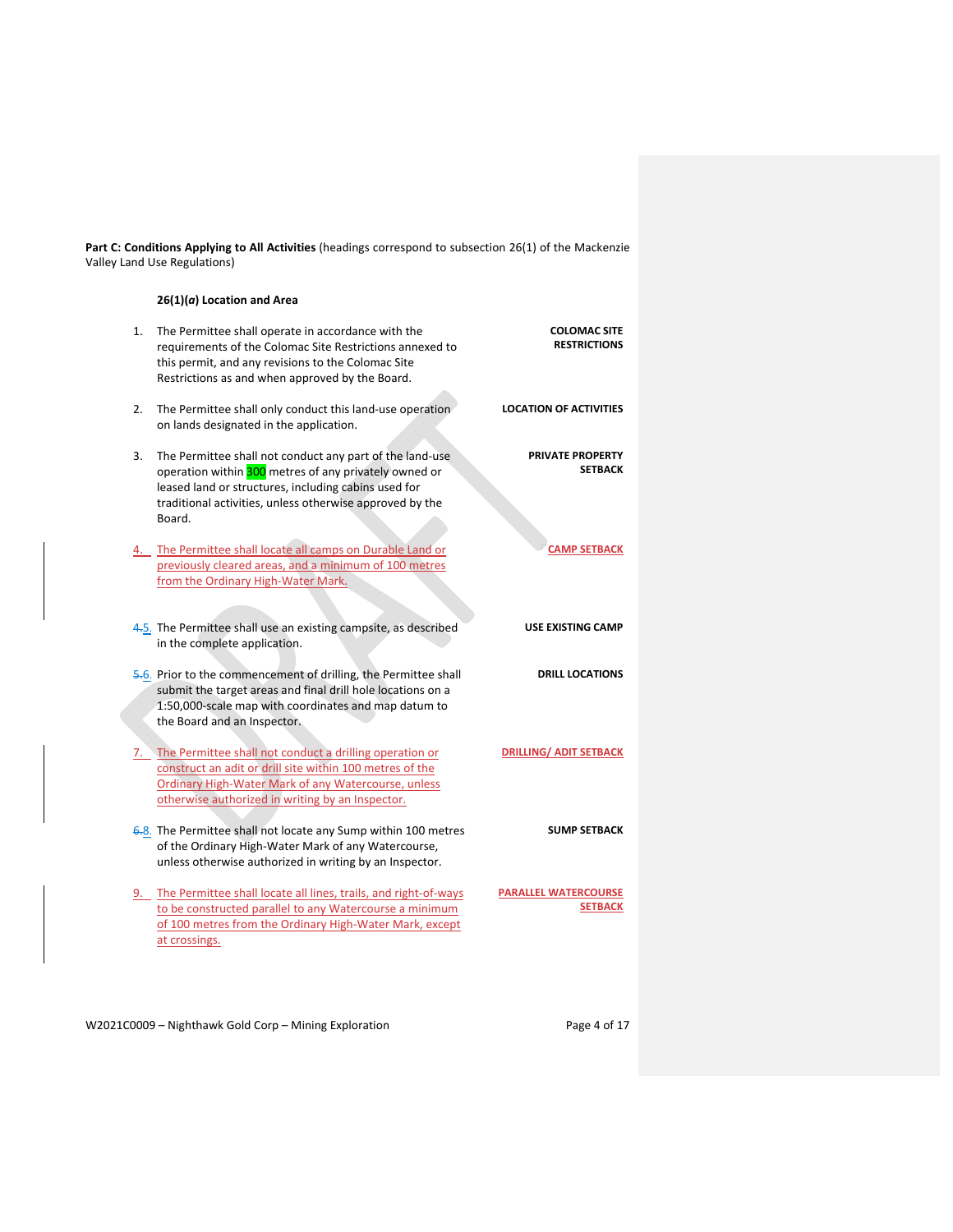**Part C: Conditions Applying to All Activities** (headings correspond to subsection 26(1) of the Mackenzie Valley Land Use Regulations)

# **26(1)(***a***) Location and Area**

| <b>LOCATION OF ACTIVITIES</b><br>The Permittee shall only conduct this land-use operation<br>2.<br>on lands designated in the application.<br><b>PRIVATE PROPERTY</b><br>3.<br>The Permittee shall not conduct any part of the land-use<br><b>SETBACK</b><br>operation within 300 metres of any privately owned or<br>leased land or structures, including cabins used for<br>traditional activities, unless otherwise approved by the<br>Board.<br><b>CAMP SETBACK</b><br>4. The Permittee shall locate all camps on Durable Land or<br>previously cleared areas, and a minimum of 100 metres | <b>COLOMAC SITE</b><br><b>RESTRICTIONS</b> |
|------------------------------------------------------------------------------------------------------------------------------------------------------------------------------------------------------------------------------------------------------------------------------------------------------------------------------------------------------------------------------------------------------------------------------------------------------------------------------------------------------------------------------------------------------------------------------------------------|--------------------------------------------|
|                                                                                                                                                                                                                                                                                                                                                                                                                                                                                                                                                                                                |                                            |
|                                                                                                                                                                                                                                                                                                                                                                                                                                                                                                                                                                                                |                                            |
| from the Ordinary High-Water Mark.                                                                                                                                                                                                                                                                                                                                                                                                                                                                                                                                                             |                                            |
| 4.5. The Permittee shall use an existing campsite, as described<br>USE EXISTING CAMP<br>in the complete application.                                                                                                                                                                                                                                                                                                                                                                                                                                                                           |                                            |
| 5.6. Prior to the commencement of drilling, the Permittee shall<br><b>DRILL LOCATIONS</b><br>submit the target areas and final drill hole locations on a<br>1:50,000-scale map with coordinates and map datum to<br>the Board and an Inspector.                                                                                                                                                                                                                                                                                                                                                |                                            |
| <b>DRILLING/ ADIT SETBACK</b><br>The Permittee shall not conduct a drilling operation or<br>7.<br>construct an adit or drill site within 100 metres of the<br>Ordinary High-Water Mark of any Watercourse, unless<br>otherwise authorized in writing by an Inspector.                                                                                                                                                                                                                                                                                                                          |                                            |
| <b>SUMP SETBACK</b><br>6.8. The Permittee shall not locate any Sump within 100 metres<br>of the Ordinary High-Water Mark of any Watercourse,<br>unless otherwise authorized in writing by an Inspector.                                                                                                                                                                                                                                                                                                                                                                                        |                                            |
| The Permittee shall locate all lines, trails, and right-of-ways<br><b>PARALLEL WATERCOURSE</b><br><b>SETBACK</b><br>to be constructed parallel to any Watercourse a minimum<br>of 100 metres from the Ordinary High-Water Mark, except<br>at crossings.                                                                                                                                                                                                                                                                                                                                        |                                            |

W2021C0009 - Nighthawk Gold Corp - Mining Exploration Page 4 of 17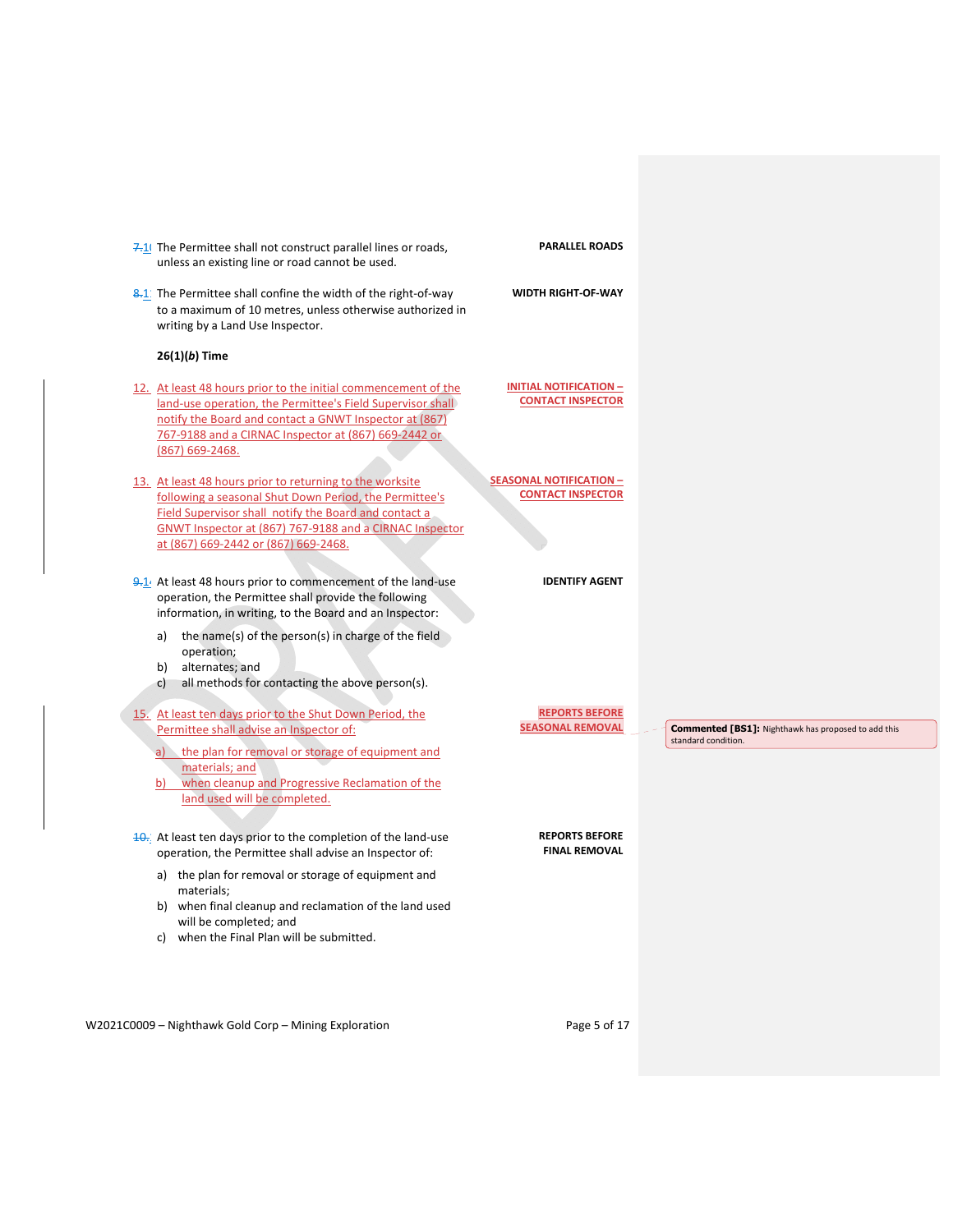| 7.1 The Permittee shall not construct parallel lines or roads,<br>unless an existing line or road cannot be used.                                                                                                                                                              | <b>PARALLEL ROADS</b>                                      |                                                                                   |
|--------------------------------------------------------------------------------------------------------------------------------------------------------------------------------------------------------------------------------------------------------------------------------|------------------------------------------------------------|-----------------------------------------------------------------------------------|
| 8.1 The Permittee shall confine the width of the right-of-way<br>to a maximum of 10 metres, unless otherwise authorized in<br>writing by a Land Use Inspector.                                                                                                                 | <b>WIDTH RIGHT-OF-WAY</b>                                  |                                                                                   |
| $26(1)(b)$ Time                                                                                                                                                                                                                                                                |                                                            |                                                                                   |
| 12. At least 48 hours prior to the initial commencement of the<br>land-use operation, the Permittee's Field Supervisor shall<br>notify the Board and contact a GNWT Inspector at (867)<br>767-9188 and a CIRNAC Inspector at (867) 669-2442 or<br>(867) 669-2468.              | <b>INITIAL NOTIFICATION -</b><br><b>CONTACT INSPECTOR</b>  |                                                                                   |
| 13. At least 48 hours prior to returning to the worksite<br>following a seasonal Shut Down Period, the Permittee's<br>Field Supervisor shall notify the Board and contact a<br>GNWT Inspector at (867) 767-9188 and a CIRNAC Inspector<br>at (867) 669-2442 or (867) 669-2468. | <b>SEASONAL NOTIFICATION -</b><br><b>CONTACT INSPECTOR</b> |                                                                                   |
| $9.1$ . At least 48 hours prior to commencement of the land-use<br>operation, the Permittee shall provide the following<br>information, in writing, to the Board and an Inspector:<br>a) the name(s) of the person(s) in charge of the field<br>operation;                     | <b>IDENTIFY AGENT</b>                                      |                                                                                   |
| alternates; and<br>b)<br>all methods for contacting the above person(s).<br>$\mathsf{C}$                                                                                                                                                                                       |                                                            |                                                                                   |
| 15. At least ten days prior to the Shut Down Period, the<br>Permittee shall advise an Inspector of:<br>the plan for removal or storage of equipment and<br>a)<br>materials; and<br>when cleanup and Progressive Reclamation of the<br>b)<br>land used will be completed.       | <b>REPORTS BEFORE</b><br><b>SEASONAL REMOVAL</b>           | <b>Commented [BS1]:</b> Nighthawk has proposed to add this<br>standard condition. |
| 10. At least ten days prior to the completion of the land-use<br>operation, the Permittee shall advise an Inspector of:                                                                                                                                                        | <b>REPORTS BEFORE</b><br><b>FINAL REMOVAL</b>              |                                                                                   |
| a) the plan for removal or storage of equipment and<br>materials:<br>b) when final cleanup and reclamation of the land used<br>will be completed; and                                                                                                                          |                                                            |                                                                                   |

W2021C0009 - Nighthawk Gold Corp - Mining Exploration Page 5 of 17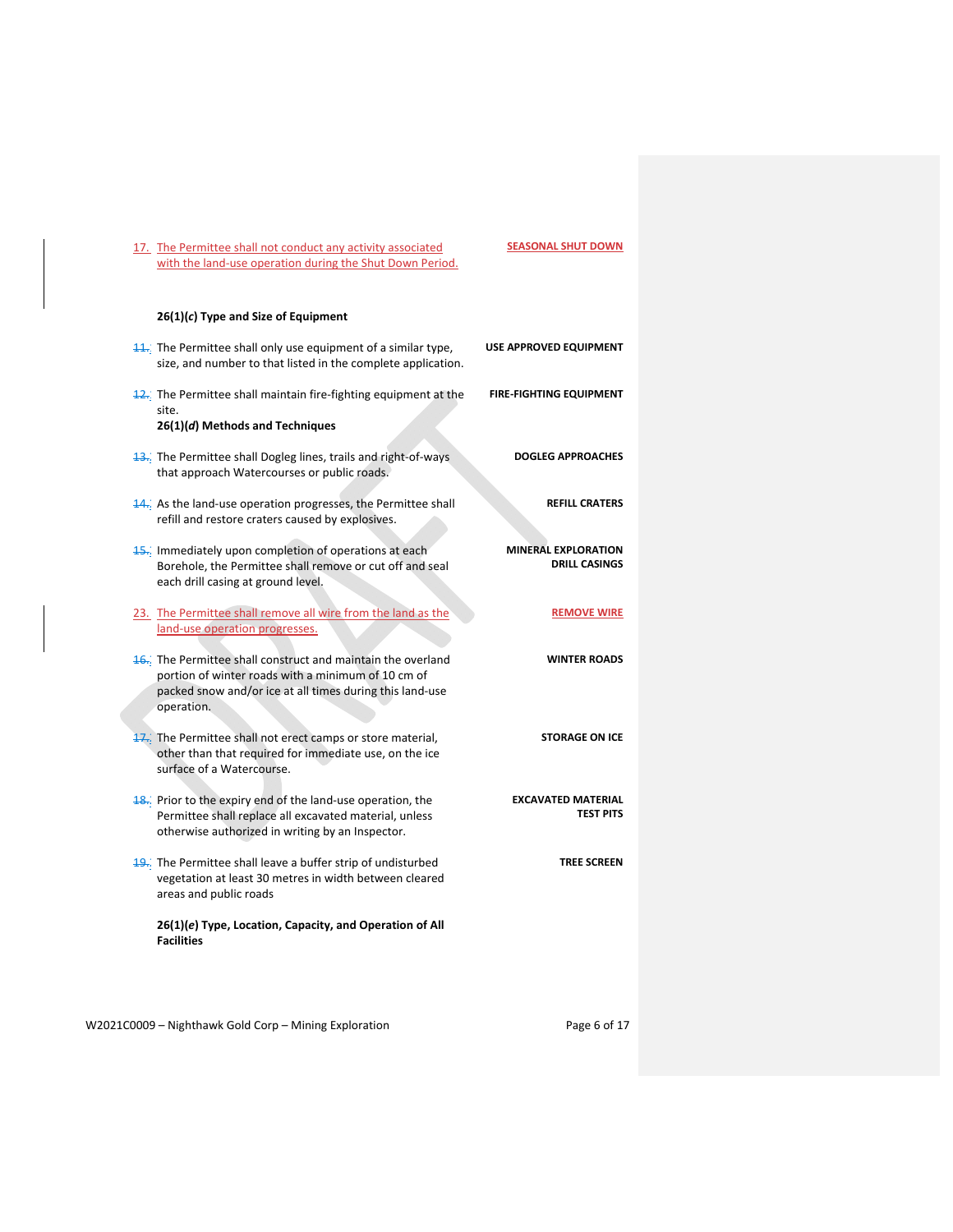| 17. The Permittee shall not conduct any activity associated |
|-------------------------------------------------------------|
| with the land-use operation during the Shut Down Period.    |

# **26(1)(***c***) Type and Size of Equipment**

| $\frac{11}{2}$ . The Permittee shall only use equipment of a similar type,<br>size, and number to that listed in the complete application.                                                  | <b>USE APPROVED EQUIPMENT</b>                      |
|---------------------------------------------------------------------------------------------------------------------------------------------------------------------------------------------|----------------------------------------------------|
| $\frac{12}{12}$ . The Permittee shall maintain fire-fighting equipment at the<br>site.<br>26(1)(d) Methods and Techniques                                                                   | <b>FIRE-FIGHTING EQUIPMENT</b>                     |
| <b>13.</b> The Permittee shall Dogleg lines, trails and right-of-ways<br>that approach Watercourses or public roads.                                                                        | <b>DOGLEG APPROACHES</b>                           |
| 14. As the land-use operation progresses, the Permittee shall<br>refill and restore craters caused by explosives.                                                                           | <b>REFILL CRATERS</b>                              |
| 15. Immediately upon completion of operations at each<br>Borehole, the Permittee shall remove or cut off and seal<br>each drill casing at ground level.                                     | <b>MINERAL EXPLORATION</b><br><b>DRILL CASINGS</b> |
| 23. The Permittee shall remove all wire from the land as the<br>land-use operation progresses.                                                                                              | <b>REMOVE WIRE</b>                                 |
| 16. The Permittee shall construct and maintain the overland<br>portion of winter roads with a minimum of 10 cm of<br>packed snow and/or ice at all times during this land-use<br>operation. | <b>WINTER ROADS</b>                                |
| 17. The Permittee shall not erect camps or store material,<br>other than that required for immediate use, on the ice<br>surface of a Watercourse.                                           | <b>STORAGE ON ICE</b>                              |
| 18. Prior to the expiry end of the land-use operation, the<br>Permittee shall replace all excavated material, unless<br>otherwise authorized in writing by an Inspector.                    | <b>EXCAVATED MATERIAL</b><br><b>TEST PITS</b>      |
| 19. The Permittee shall leave a buffer strip of undisturbed<br>vegetation at least 30 metres in width between cleared<br>areas and public roads                                             | <b>TREE SCREEN</b>                                 |
| 26(1)(e) Type, Location, Capacity, and Operation of All<br><b>Facilities</b>                                                                                                                |                                                    |

W2021C0009 - Nighthawk Gold Corp - Mining Exploration Page 6 of 17

**SEASONAL SHUT DOWN**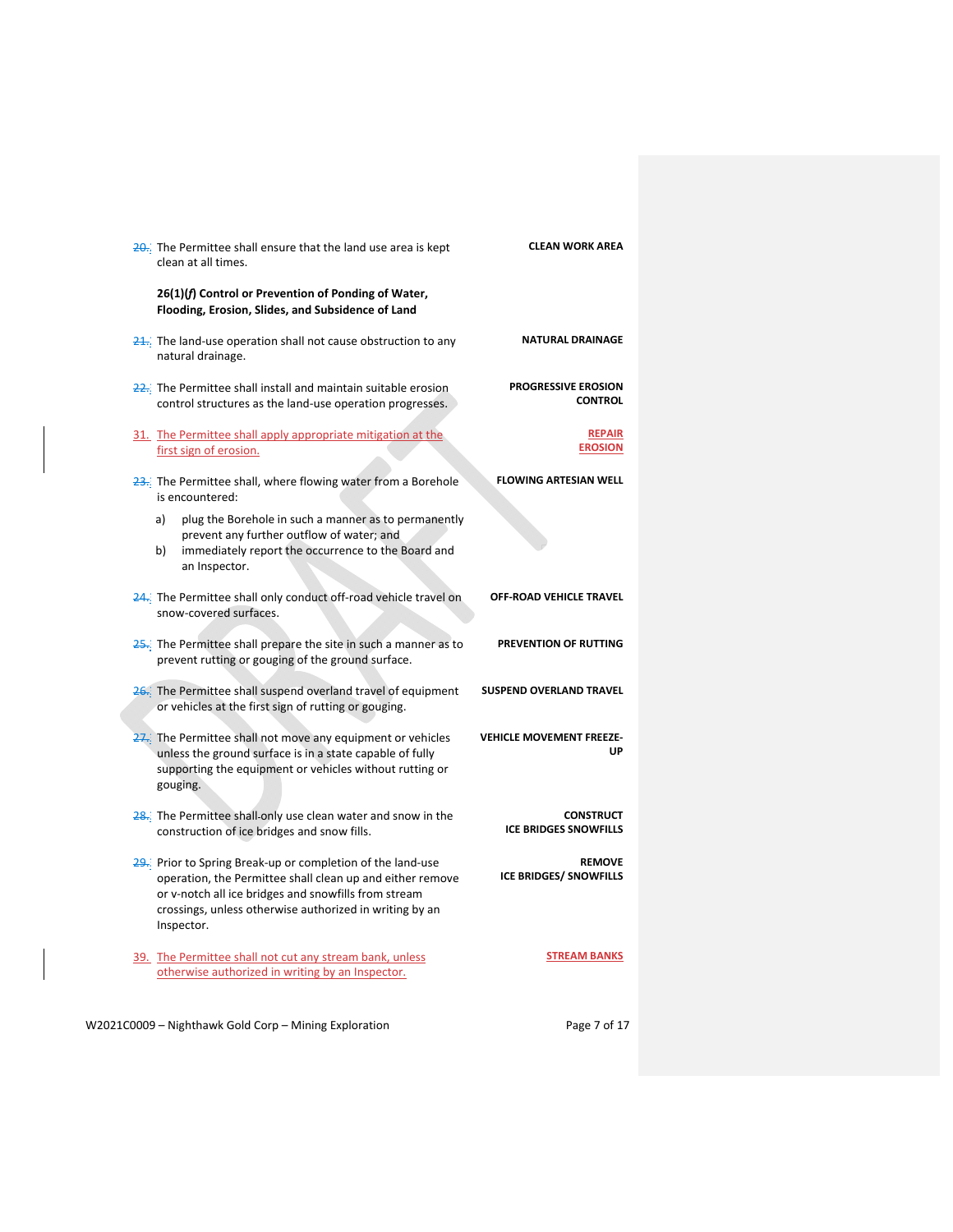| 20. The Permittee shall ensure that the land use area is kept<br>clean at all times.                                                                                                                                                                     | <b>CLEAN WORK AREA</b>                           |
|----------------------------------------------------------------------------------------------------------------------------------------------------------------------------------------------------------------------------------------------------------|--------------------------------------------------|
| 26(1)(f) Control or Prevention of Ponding of Water,<br>Flooding, Erosion, Slides, and Subsidence of Land                                                                                                                                                 |                                                  |
| $\frac{24}{10}$ . The land-use operation shall not cause obstruction to any<br>natural drainage.                                                                                                                                                         | <b>NATURAL DRAINAGE</b>                          |
| 22. The Permittee shall install and maintain suitable erosion<br>control structures as the land-use operation progresses.                                                                                                                                | <b>PROGRESSIVE EROSION</b><br><b>CONTROL</b>     |
| 31. The Permittee shall apply appropriate mitigation at the<br>first sign of erosion.                                                                                                                                                                    | <b>REPAIR</b><br><b>EROSION</b>                  |
| $\frac{23}{2}$ . The Permittee shall, where flowing water from a Borehole<br>is encountered:                                                                                                                                                             | <b>FLOWING ARTESIAN WELL</b>                     |
| plug the Borehole in such a manner as to permanently<br>a)<br>prevent any further outflow of water; and<br>immediately report the occurrence to the Board and<br>b)<br>an Inspector.                                                                     |                                                  |
| 24. The Permittee shall only conduct off-road vehicle travel on<br>snow-covered surfaces.                                                                                                                                                                | OFF-ROAD VEHICLE TRAVEL                          |
| $25$ . The Permittee shall prepare the site in such a manner as to<br>prevent rutting or gouging of the ground surface.                                                                                                                                  | PREVENTION OF RUTTING                            |
| 26. The Permittee shall suspend overland travel of equipment<br>or vehicles at the first sign of rutting or gouging.                                                                                                                                     | <b>SUSPEND OVERLAND TRAVEL</b>                   |
| 27. The Permittee shall not move any equipment or vehicles<br>unless the ground surface is in a state capable of fully<br>supporting the equipment or vehicles without rutting or<br>gouging.                                                            | <b>VEHICLE MOVEMENT FREEZE-</b><br>UP            |
| 28. The Permittee shall only use clean water and snow in the<br>construction of ice bridges and snow fills.                                                                                                                                              | <b>CONSTRUCT</b><br><b>ICE BRIDGES SNOWFILLS</b> |
| 29. Prior to Spring Break-up or completion of the land-use<br>operation, the Permittee shall clean up and either remove<br>or v-notch all ice bridges and snowfills from stream<br>crossings, unless otherwise authorized in writing by an<br>Inspector. | <b>REMOVE</b><br><b>ICE BRIDGES/ SNOWFILLS</b>   |
| 39. The Permittee shall not cut any stream bank, unless<br>otherwise authorized in writing by an Inspector.                                                                                                                                              | <b>STREAM BANKS</b>                              |

W2021C0009 - Nighthawk Gold Corp - Mining Exploration Page 7 of 17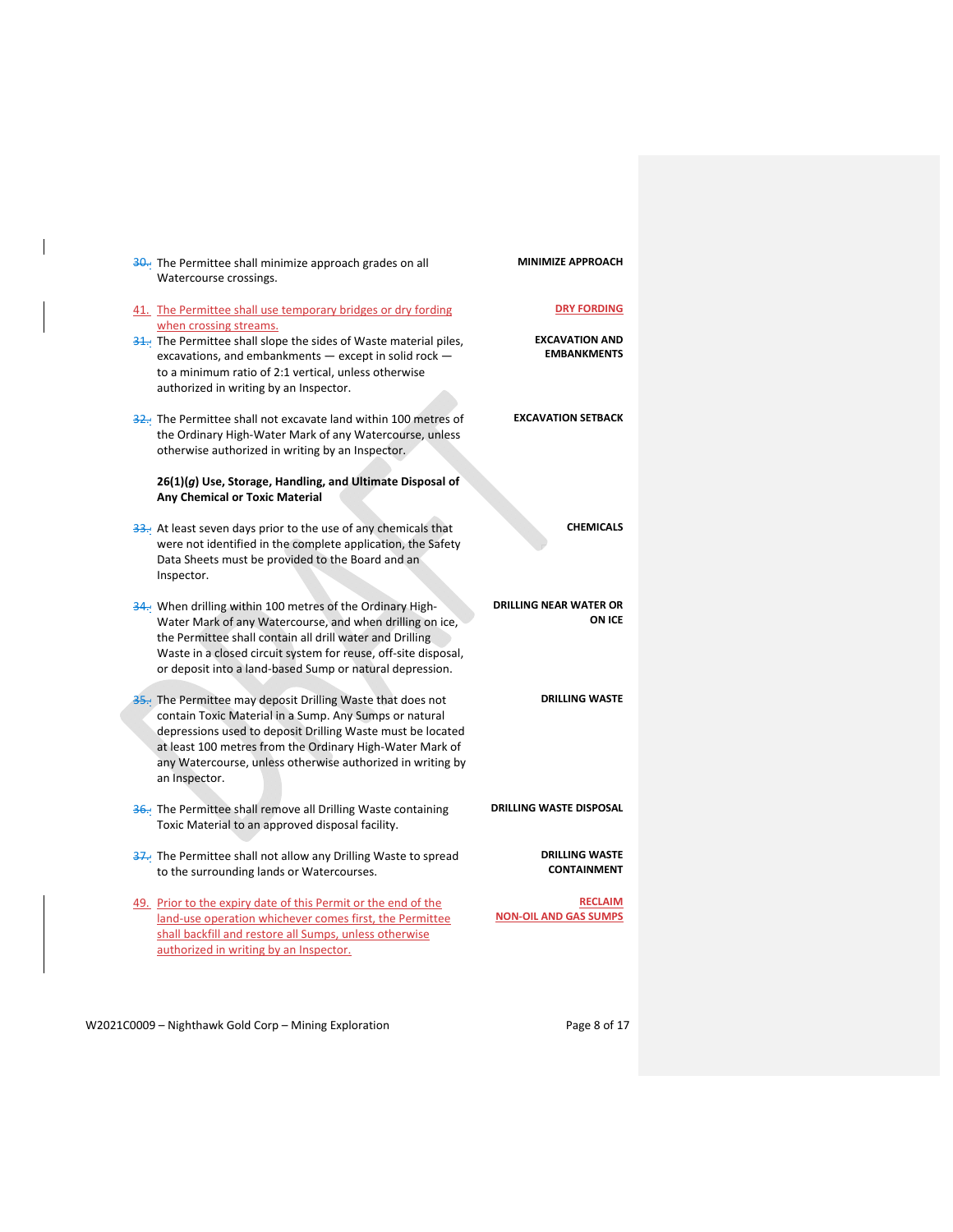| 30. The Permittee shall minimize approach grades on all<br>Watercourse crossings.                                                                                                                                                                                                                                             | <b>MINIMIZE APPROACH</b>                       |
|-------------------------------------------------------------------------------------------------------------------------------------------------------------------------------------------------------------------------------------------------------------------------------------------------------------------------------|------------------------------------------------|
| 41. The Permittee shall use temporary bridges or dry fording<br>when crossing streams.                                                                                                                                                                                                                                        | <b>DRY FORDING</b>                             |
| 31. The Permittee shall slope the sides of Waste material piles,<br>excavations, and embankments - except in solid rock -<br>to a minimum ratio of 2:1 vertical, unless otherwise<br>authorized in writing by an Inspector.                                                                                                   | <b>EXCAVATION AND</b><br><b>EMBANKMENTS</b>    |
| 32. The Permittee shall not excavate land within 100 metres of<br>the Ordinary High-Water Mark of any Watercourse, unless<br>otherwise authorized in writing by an Inspector.                                                                                                                                                 | <b>EXCAVATION SETBACK</b>                      |
| 26(1)(g) Use, Storage, Handling, and Ultimate Disposal of<br><b>Any Chemical or Toxic Material</b>                                                                                                                                                                                                                            |                                                |
| 33. At least seven days prior to the use of any chemicals that<br>were not identified in the complete application, the Safety<br>Data Sheets must be provided to the Board and an<br>Inspector.                                                                                                                               | <b>CHEMICALS</b>                               |
| 34. When drilling within 100 metres of the Ordinary High-<br>Water Mark of any Watercourse, and when drilling on ice,<br>the Permittee shall contain all drill water and Drilling<br>Waste in a closed circuit system for reuse, off-site disposal,<br>or deposit into a land-based Sump or natural depression.               | <b>DRILLING NEAR WATER OR</b><br><b>ON ICE</b> |
| 35. The Permittee may deposit Drilling Waste that does not<br>contain Toxic Material in a Sump. Any Sumps or natural<br>depressions used to deposit Drilling Waste must be located<br>at least 100 metres from the Ordinary High-Water Mark of<br>any Watercourse, unless otherwise authorized in writing by<br>an Inspector. | <b>DRILLING WASTE</b>                          |
| 36. The Permittee shall remove all Drilling Waste containing<br>Toxic Material to an approved disposal facility.                                                                                                                                                                                                              | <b>DRILLING WASTE DISPOSAL</b>                 |
| <b>37.</b> The Permittee shall not allow any Drilling Waste to spread<br>to the surrounding lands or Watercourses.                                                                                                                                                                                                            | <b>DRILLING WASTE</b><br><b>CONTAINMENT</b>    |
| 49. Prior to the expiry date of this Permit or the end of the<br>land-use operation whichever comes first, the Permittee<br>shall backfill and restore all Sumps, unless otherwise<br>authorized in writing by an Inspector.                                                                                                  | <b>RECLAIM</b><br><b>NON-OIL AND GAS SUMPS</b> |

W2021C0009 - Nighthawk Gold Corp - Mining Exploration Page 8 of 17

 $\mathbf{I}$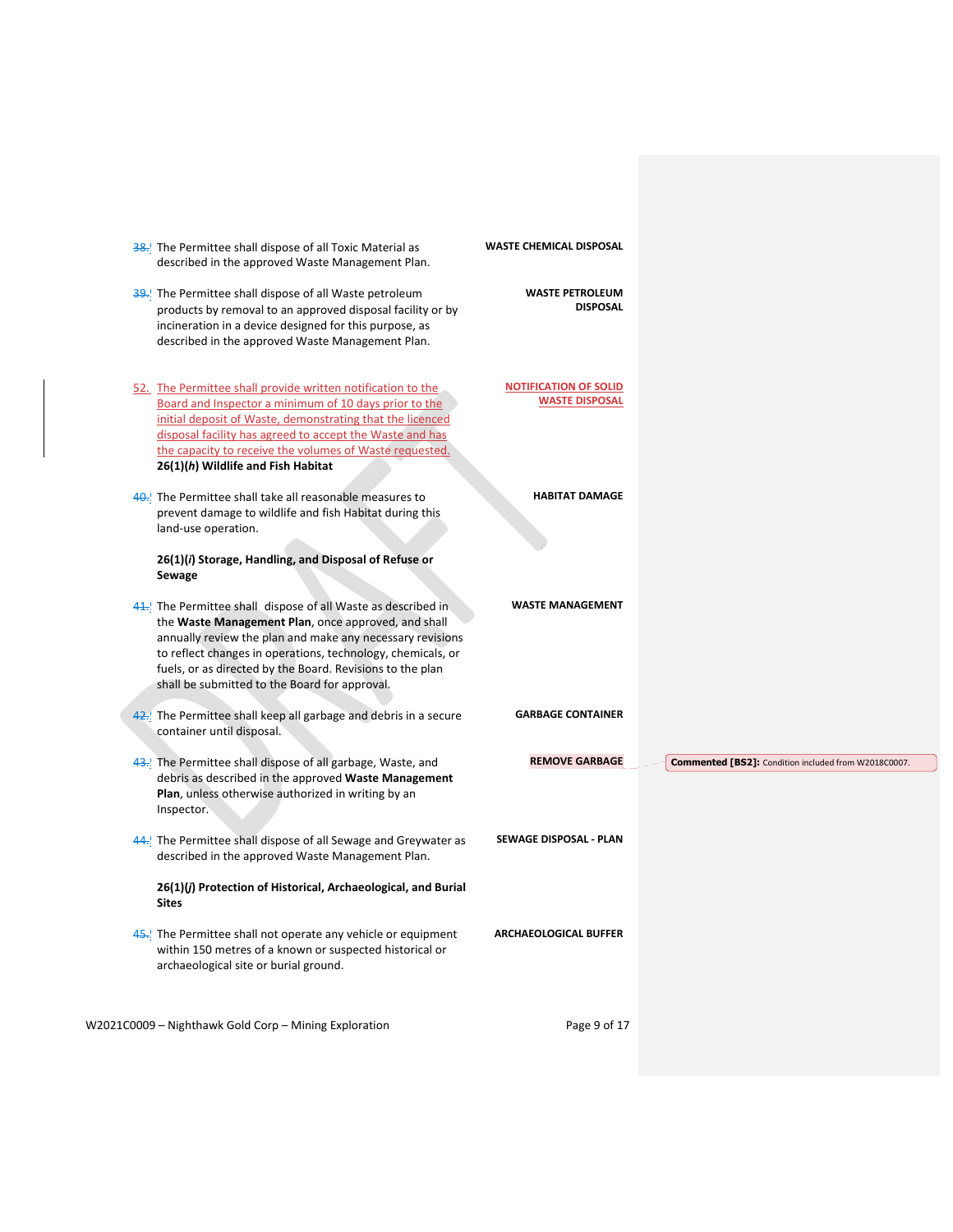| 38. The Permittee shall dispose of all Toxic Material as<br>described in the approved Waste Management Plan.                                                                                                                                                                                                                                                  | <b>WASTE CHEMICAL DISPOSAL</b>                        |                                                      |
|---------------------------------------------------------------------------------------------------------------------------------------------------------------------------------------------------------------------------------------------------------------------------------------------------------------------------------------------------------------|-------------------------------------------------------|------------------------------------------------------|
| 39. The Permittee shall dispose of all Waste petroleum<br>products by removal to an approved disposal facility or by<br>incineration in a device designed for this purpose, as<br>described in the approved Waste Management Plan.                                                                                                                            | <b>WASTE PETROLEUM</b><br><b>DISPOSAL</b>             |                                                      |
| 52. The Permittee shall provide written notification to the<br>Board and Inspector a minimum of 10 days prior to the<br>initial deposit of Waste, demonstrating that the licenced<br>disposal facility has agreed to accept the Waste and has<br>the capacity to receive the volumes of Waste requested.<br>26(1)(h) Wildlife and Fish Habitat                | <b>NOTIFICATION OF SOLID</b><br><b>WASTE DISPOSAL</b> |                                                      |
| 40. The Permittee shall take all reasonable measures to<br>prevent damage to wildlife and fish Habitat during this<br>land-use operation.<br>26(1)(i) Storage, Handling, and Disposal of Refuse or<br>Sewage                                                                                                                                                  | <b>HABITAT DAMAGE</b>                                 |                                                      |
| 41. The Permittee shall dispose of all Waste as described in<br>the Waste Management Plan, once approved, and shall<br>annually review the plan and make any necessary revisions<br>to reflect changes in operations, technology, chemicals, or<br>fuels, or as directed by the Board. Revisions to the plan<br>shall be submitted to the Board for approval. | <b>WASTE MANAGEMENT</b>                               |                                                      |
| 42. The Permittee shall keep all garbage and debris in a secure<br>container until disposal.                                                                                                                                                                                                                                                                  | <b>GARBAGE CONTAINER</b>                              |                                                      |
| 43. The Permittee shall dispose of all garbage, Waste, and<br>debris as described in the approved Waste Management<br>Plan, unless otherwise authorized in writing by an<br>Inspector.                                                                                                                                                                        | <b>REMOVE GARBAGE</b>                                 | Commented [BS2]: Condition included from W2018C0007. |
| 44. The Permittee shall dispose of all Sewage and Greywater as<br>described in the approved Waste Management Plan.                                                                                                                                                                                                                                            | <b>SEWAGE DISPOSAL - PLAN</b>                         |                                                      |
| 26(1)(j) Protection of Historical, Archaeological, and Burial<br>Sites                                                                                                                                                                                                                                                                                        |                                                       |                                                      |
| 45. The Permittee shall not operate any vehicle or equipment<br>within 150 metres of a known or suspected historical or<br>archaeological site or burial ground.                                                                                                                                                                                              | <b>ARCHAEOLOGICAL BUFFER</b>                          |                                                      |
| W2021C0009 - Nighthawk Gold Corp - Mining Exploration                                                                                                                                                                                                                                                                                                         | Page 9 of 17                                          |                                                      |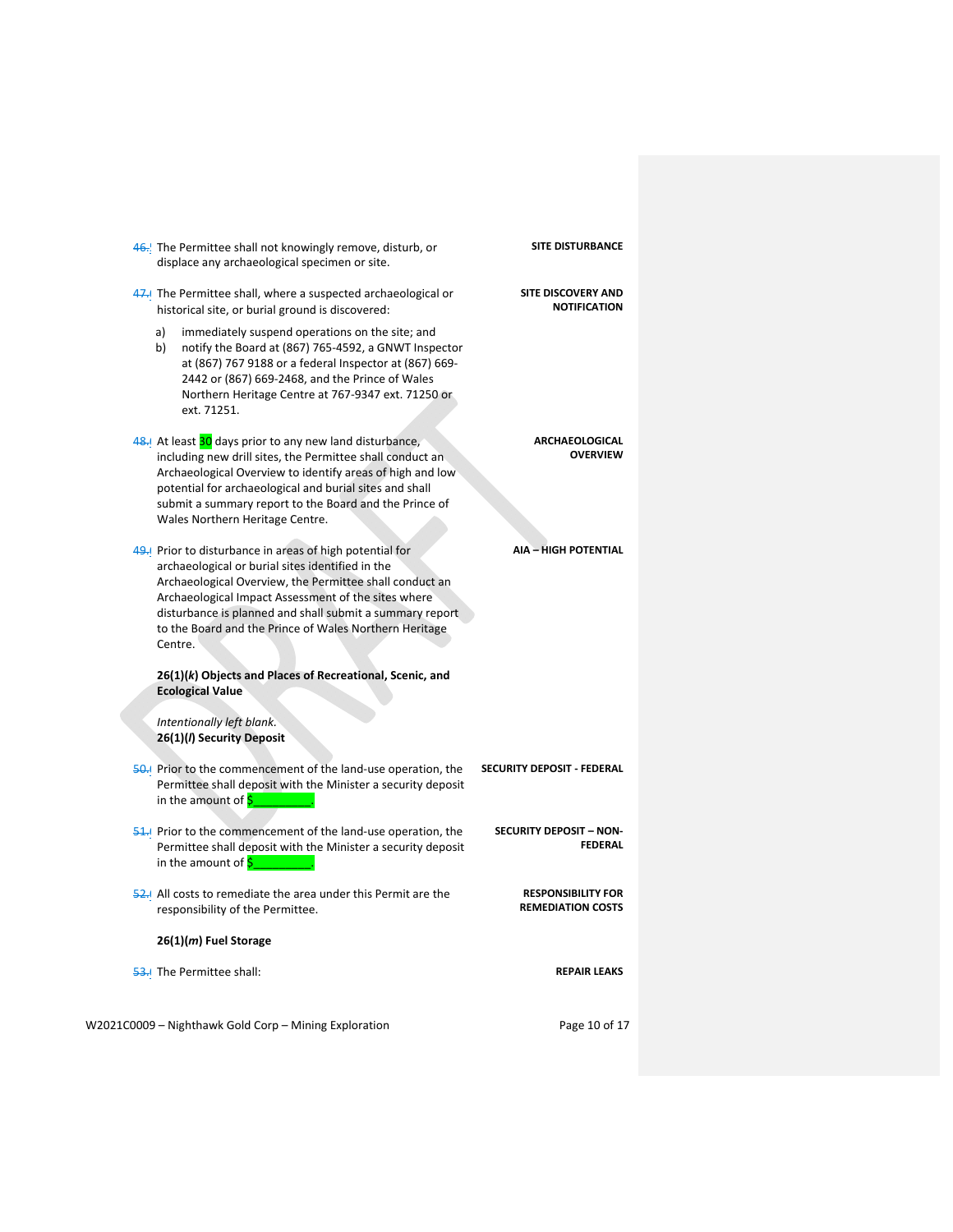| 46. The Permittee shall not knowingly remove, disturb, or<br>displace any archaeological specimen or site.                                                                                                                                                                                                                                                     | <b>SITE DISTURBANCE</b>                               |
|----------------------------------------------------------------------------------------------------------------------------------------------------------------------------------------------------------------------------------------------------------------------------------------------------------------------------------------------------------------|-------------------------------------------------------|
| 47-J The Permittee shall, where a suspected archaeological or<br>historical site, or burial ground is discovered:                                                                                                                                                                                                                                              | SITE DISCOVERY AND<br><b>NOTIFICATION</b>             |
| immediately suspend operations on the site; and<br>a)<br>b)<br>notify the Board at (867) 765-4592, a GNWT Inspector<br>at (867) 767 9188 or a federal Inspector at (867) 669-<br>2442 or (867) 669-2468, and the Prince of Wales<br>Northern Heritage Centre at 767-9347 ext. 71250 or<br>ext. 71251.                                                          |                                                       |
| 48. At least 30 days prior to any new land disturbance,<br>including new drill sites, the Permittee shall conduct an<br>Archaeological Overview to identify areas of high and low<br>potential for archaeological and burial sites and shall<br>submit a summary report to the Board and the Prince of<br>Wales Northern Heritage Centre.                      | <b>ARCHAEOLOGICAL</b><br><b>OVERVIEW</b>              |
| 49. Prior to disturbance in areas of high potential for<br>archaeological or burial sites identified in the<br>Archaeological Overview, the Permittee shall conduct an<br>Archaeological Impact Assessment of the sites where<br>disturbance is planned and shall submit a summary report<br>to the Board and the Prince of Wales Northern Heritage<br>Centre. | <b>AIA - HIGH POTENTIAL</b>                           |
| 26(1)(k) Objects and Places of Recreational, Scenic, and<br><b>Ecological Value</b>                                                                                                                                                                                                                                                                            |                                                       |
| Intentionally left blank.<br>26(1)(/) Security Deposit                                                                                                                                                                                                                                                                                                         |                                                       |
| 50. Prior to the commencement of the land-use operation, the<br>Permittee shall deposit with the Minister a security deposit<br>in the amount of S                                                                                                                                                                                                             | SECURITY DEPOSIT - FEDERAL                            |
| $\frac{54}{10}$ Prior to the commencement of the land-use operation, the<br>Permittee shall deposit with the Minister a security deposit<br>in the amount of \$                                                                                                                                                                                                | <b>SECURITY DEPOSIT - NON-</b><br><b>FEDERAL</b>      |
| $\frac{52}{52}$ All costs to remediate the area under this Permit are the<br>responsibility of the Permittee.                                                                                                                                                                                                                                                  | <b>RESPONSIBILITY FOR</b><br><b>REMEDIATION COSTS</b> |
| $26(1)(m)$ Fuel Storage                                                                                                                                                                                                                                                                                                                                        |                                                       |
| 53. The Permittee shall:                                                                                                                                                                                                                                                                                                                                       | <b>REPAIR LEAKS</b>                                   |
| W2021C0009 - Nighthawk Gold Corp - Mining Exploration                                                                                                                                                                                                                                                                                                          | Page 10 of 17                                         |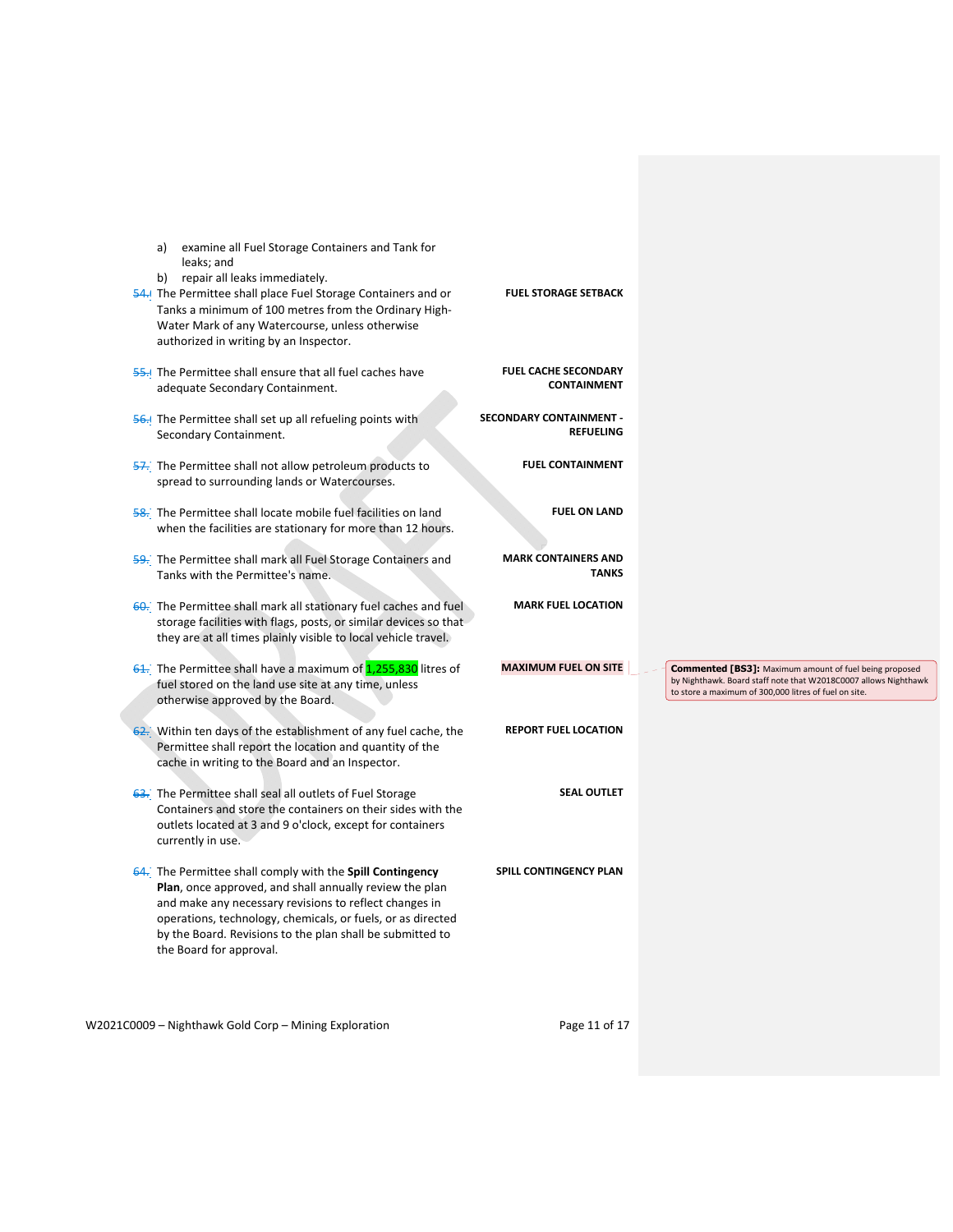| examine all Fuel Storage Containers and Tank for<br>a)<br>leaks; and<br>repair all leaks immediately.<br>b)<br>54. The Permittee shall place Fuel Storage Containers and or<br>Tanks a minimum of 100 metres from the Ordinary High-<br>Water Mark of any Watercourse, unless otherwise<br>authorized in writing by an Inspector.     | <b>FUEL STORAGE SETBACK</b>                       |                                                                                                                                                                                           |
|---------------------------------------------------------------------------------------------------------------------------------------------------------------------------------------------------------------------------------------------------------------------------------------------------------------------------------------|---------------------------------------------------|-------------------------------------------------------------------------------------------------------------------------------------------------------------------------------------------|
| <b>55.</b> The Permittee shall ensure that all fuel caches have<br>adequate Secondary Containment.                                                                                                                                                                                                                                    | <b>FUEL CACHE SECONDARY</b><br><b>CONTAINMENT</b> |                                                                                                                                                                                           |
| <b>56.</b> The Permittee shall set up all refueling points with<br>Secondary Containment.                                                                                                                                                                                                                                             | SECONDARY CONTAINMENT -<br><b>REFUELING</b>       |                                                                                                                                                                                           |
| 57. The Permittee shall not allow petroleum products to<br>spread to surrounding lands or Watercourses.                                                                                                                                                                                                                               | <b>FUEL CONTAINMENT</b>                           |                                                                                                                                                                                           |
| 58. The Permittee shall locate mobile fuel facilities on land<br>when the facilities are stationary for more than 12 hours.                                                                                                                                                                                                           | <b>FUEL ON LAND</b>                               |                                                                                                                                                                                           |
| 59. The Permittee shall mark all Fuel Storage Containers and<br>Tanks with the Permittee's name.                                                                                                                                                                                                                                      | <b>MARK CONTAINERS AND</b><br><b>TANKS</b>        |                                                                                                                                                                                           |
| 60. The Permittee shall mark all stationary fuel caches and fuel<br>storage facilities with flags, posts, or similar devices so that<br>they are at all times plainly visible to local vehicle travel.                                                                                                                                | <b>MARK FUEL LOCATION</b>                         |                                                                                                                                                                                           |
| 61. The Permittee shall have a maximum of 1,255,830 litres of<br>fuel stored on the land use site at any time, unless<br>otherwise approved by the Board.                                                                                                                                                                             | <b>MAXIMUM FUEL ON SITE</b>                       | <b>Commented [BS3]:</b> Maximum amount of fuel being proposed<br>by Nighthawk. Board staff note that W2018C0007 allows Nighthawk<br>to store a maximum of 300,000 litres of fuel on site. |
| 62. Within ten days of the establishment of any fuel cache, the<br>Permittee shall report the location and quantity of the<br>cache in writing to the Board and an Inspector.                                                                                                                                                         | <b>REPORT FUEL LOCATION</b>                       |                                                                                                                                                                                           |
| 63. The Permittee shall seal all outlets of Fuel Storage<br>Containers and store the containers on their sides with the<br>outlets located at 3 and 9 o'clock, except for containers<br>currently in use.                                                                                                                             | <b>SEAL OUTLET</b>                                |                                                                                                                                                                                           |
| 64. The Permittee shall comply with the Spill Contingency<br>Plan, once approved, and shall annually review the plan<br>and make any necessary revisions to reflect changes in<br>operations, technology, chemicals, or fuels, or as directed<br>by the Board. Revisions to the plan shall be submitted to<br>the Board for approval. | SPILL CONTINGENCY PLAN                            |                                                                                                                                                                                           |
| W2021C0009 - Nighthawk Gold Corp - Mining Exploration                                                                                                                                                                                                                                                                                 | Page 11 of 17                                     |                                                                                                                                                                                           |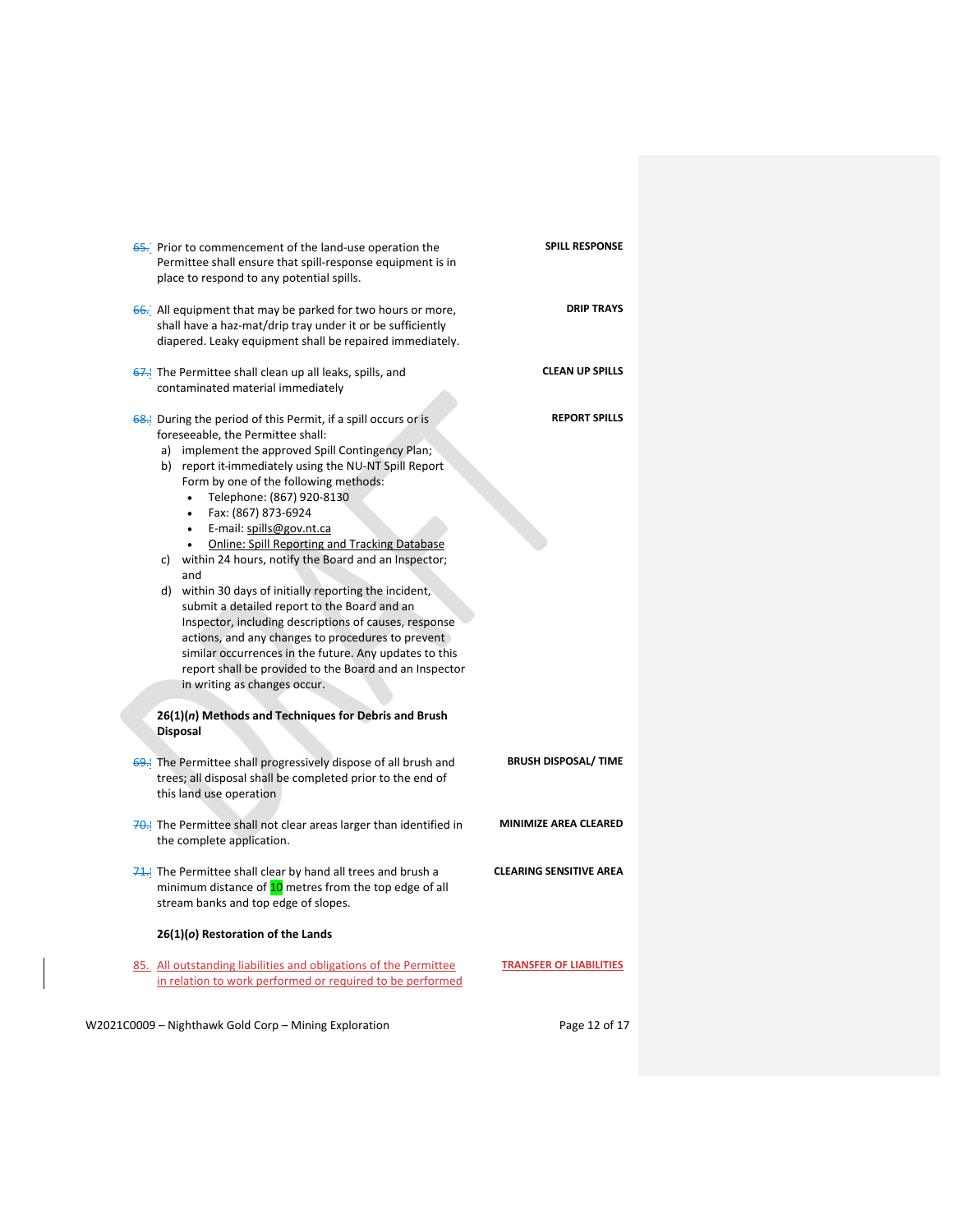| <b>65.</b> Prior to commencement of the land-use operation the<br>Permittee shall ensure that spill-response equipment is in<br>place to respond to any potential spills.                                                                                                                                                                                                                                                                                                                                                                                                                                                                                                                                                                                                                                                                                                                                                                                        | <b>SPILL RESPONSE</b>          |
|------------------------------------------------------------------------------------------------------------------------------------------------------------------------------------------------------------------------------------------------------------------------------------------------------------------------------------------------------------------------------------------------------------------------------------------------------------------------------------------------------------------------------------------------------------------------------------------------------------------------------------------------------------------------------------------------------------------------------------------------------------------------------------------------------------------------------------------------------------------------------------------------------------------------------------------------------------------|--------------------------------|
| 66. All equipment that may be parked for two hours or more,<br>shall have a haz-mat/drip tray under it or be sufficiently<br>diapered. Leaky equipment shall be repaired immediately.                                                                                                                                                                                                                                                                                                                                                                                                                                                                                                                                                                                                                                                                                                                                                                            | <b>DRIP TRAYS</b>              |
| The Permittee shall clean up all leaks, spills, and<br>contaminated material immediately                                                                                                                                                                                                                                                                                                                                                                                                                                                                                                                                                                                                                                                                                                                                                                                                                                                                         | <b>CLEAN UP SPILLS</b>         |
| <b>68.</b> During the period of this Permit, if a spill occurs or is<br>foreseeable, the Permittee shall:<br>a) implement the approved Spill Contingency Plan;<br>b) report it immediately using the NU-NT Spill Report<br>Form by one of the following methods:<br>Telephone: (867) 920-8130<br>Fax: (867) 873-6924<br>$\bullet$<br>E-mail: spills@gov.nt.ca<br>$\bullet$<br><b>Online: Spill Reporting and Tracking Database</b><br>$\bullet$<br>c) within 24 hours, notify the Board and an Inspector;<br>and<br>d) within 30 days of initially reporting the incident,<br>submit a detailed report to the Board and an<br>Inspector, including descriptions of causes, response<br>actions, and any changes to procedures to prevent<br>similar occurrences in the future. Any updates to this<br>report shall be provided to the Board and an Inspector<br>in writing as changes occur.<br>26(1)(n) Methods and Techniques for Debris and Brush<br>Disposal | <b>REPORT SPILLS</b>           |
| 69. The Permittee shall progressively dispose of all brush and<br>trees; all disposal shall be completed prior to the end of<br>this land use operation                                                                                                                                                                                                                                                                                                                                                                                                                                                                                                                                                                                                                                                                                                                                                                                                          | <b>BRUSH DISPOSAL/ TIME</b>    |
| 70. The Permittee shall not clear areas larger than identified in<br>the complete application.                                                                                                                                                                                                                                                                                                                                                                                                                                                                                                                                                                                                                                                                                                                                                                                                                                                                   | <b>MINIMIZE AREA CLEARED</b>   |
| $71$ . The Permittee shall clear by hand all trees and brush a<br>minimum distance of 10 metres from the top edge of all<br>stream banks and top edge of slopes.<br>26(1)(o) Restoration of the Lands                                                                                                                                                                                                                                                                                                                                                                                                                                                                                                                                                                                                                                                                                                                                                            | <b>CLEARING SENSITIVE AREA</b> |
| 85. All outstanding liabilities and obligations of the Permittee<br>in relation to work performed or required to be performed                                                                                                                                                                                                                                                                                                                                                                                                                                                                                                                                                                                                                                                                                                                                                                                                                                    | <b>TRANSFER OF LIABILITIES</b> |
| W2021C0009 - Nighthawk Gold Corp - Mining Exploration                                                                                                                                                                                                                                                                                                                                                                                                                                                                                                                                                                                                                                                                                                                                                                                                                                                                                                            | Page 12 of 17                  |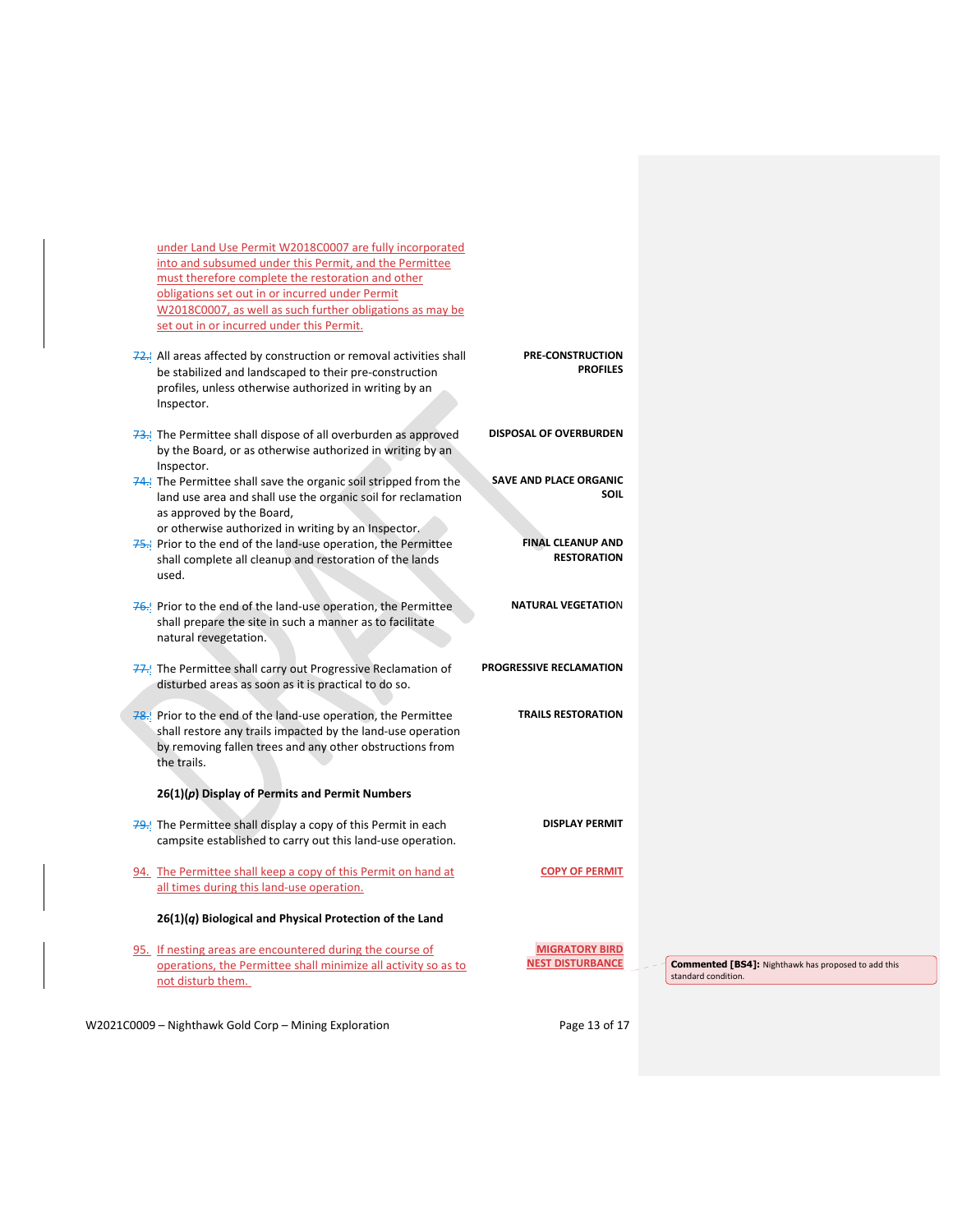under Land Use Permit W2018C0007 are fully incorporated into and subsumed under this Permit, and the Permittee must therefore complete the restoration and other obligations set out in or incurred under Permit W2018C0007, as well as such further obligations as may be set out in or incurred under this Permit.

|  | 72. All areas affected by construction or removal activities shall<br>be stabilized and landscaped to their pre-construction<br>profiles, unless otherwise authorized in writing by an<br>Inspector.    | <b>PRE-CONSTRUCTION</b><br><b>PROFILES</b>       |  |
|--|---------------------------------------------------------------------------------------------------------------------------------------------------------------------------------------------------------|--------------------------------------------------|--|
|  | 73. The Permittee shall dispose of all overburden as approved<br>by the Board, or as otherwise authorized in writing by an<br>Inspector.                                                                | <b>DISPOSAL OF OVERBURDEN</b>                    |  |
|  | 74. The Permittee shall save the organic soil stripped from the<br>land use area and shall use the organic soil for reclamation<br>as approved by the Board,                                            | <b>SAVE AND PLACE ORGANIC</b><br><b>SOIL</b>     |  |
|  | or otherwise authorized in writing by an Inspector.<br>Prior to the end of the land-use operation, the Permittee<br>shall complete all cleanup and restoration of the lands<br>used.                    | <b>FINAL CLEANUP AND</b><br><b>RESTORATION</b>   |  |
|  | 76. Prior to the end of the land-use operation, the Permittee<br>shall prepare the site in such a manner as to facilitate<br>natural revegetation.                                                      | <b>NATURAL VEGETATION</b>                        |  |
|  | 77. The Permittee shall carry out Progressive Reclamation of<br>disturbed areas as soon as it is practical to do so.                                                                                    | <b>PROGRESSIVE RECLAMATION</b>                   |  |
|  | 78. Prior to the end of the land-use operation, the Permittee<br>shall restore any trails impacted by the land-use operation<br>by removing fallen trees and any other obstructions from<br>the trails. | <b>TRAILS RESTORATION</b>                        |  |
|  | $26(1)(p)$ Display of Permits and Permit Numbers                                                                                                                                                        |                                                  |  |
|  | $79.$ The Permittee shall display a copy of this Permit in each<br>campsite established to carry out this land-use operation.                                                                           | <b>DISPLAY PERMIT</b>                            |  |
|  | 94. The Permittee shall keep a copy of this Permit on hand at<br>all times during this land-use operation.                                                                                              | <b>COPY OF PERMIT</b>                            |  |
|  | $26(1)(q)$ Biological and Physical Protection of the Land                                                                                                                                               |                                                  |  |
|  | 95. If nesting areas are encountered during the course of<br>operations, the Permittee shall minimize all activity so as to<br>not disturb them.                                                        | <b>MIGRATORY BIRD</b><br><b>NEST DISTURBANCE</b> |  |
|  |                                                                                                                                                                                                         |                                                  |  |

W2021C0009 - Nighthawk Gold Corp - Mining Exploration Page 13 of 17

**Commented [BS4]:** Nighthawk has proposed to add this standard condition.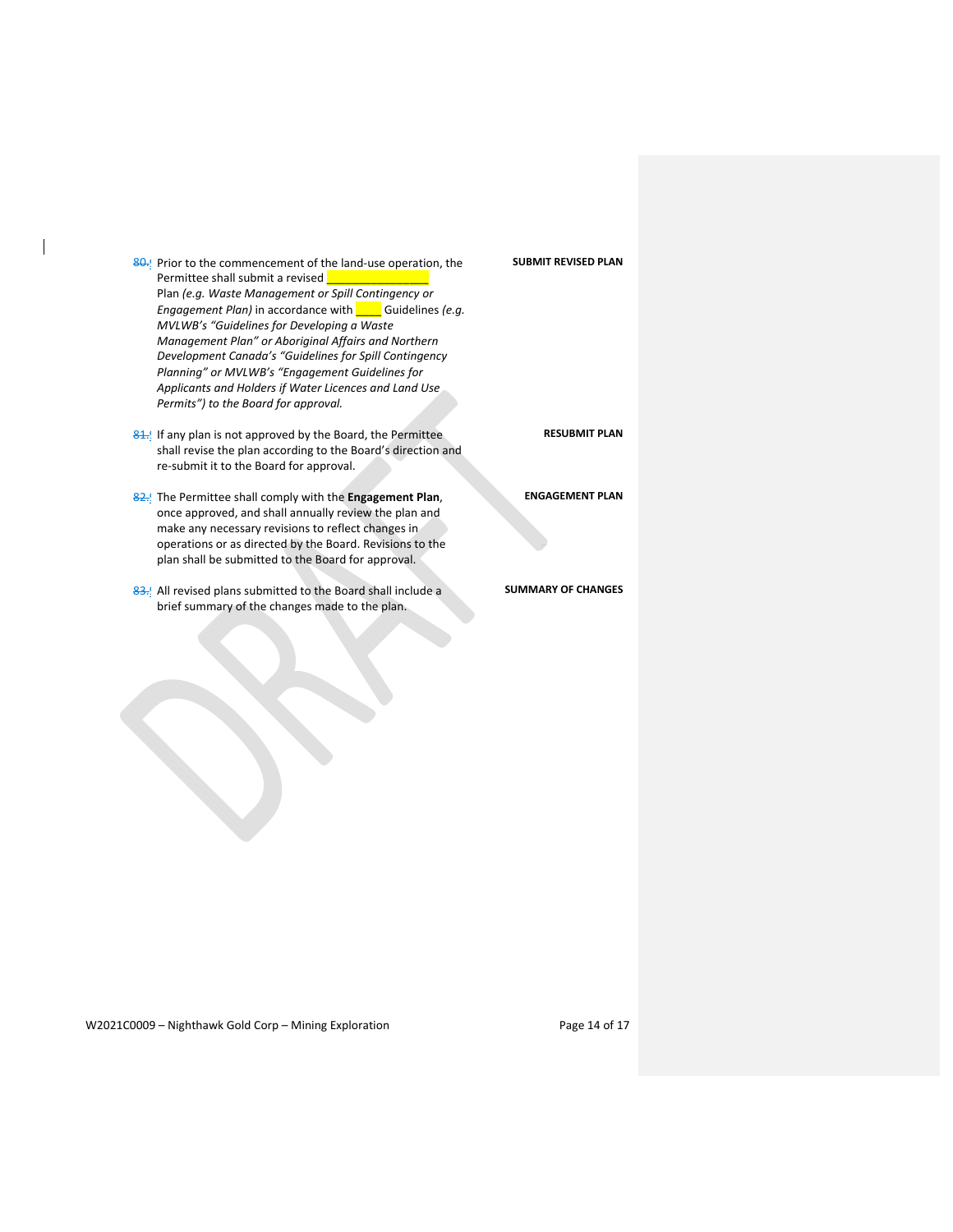| 80. Prior to the commencement of the land-use operation, the<br>Permittee shall submit a revised                          | <b>SUBMIT REVISED PLAN</b> |
|---------------------------------------------------------------------------------------------------------------------------|----------------------------|
| Plan (e.g. Waste Management or Spill Contingency or                                                                       |                            |
| <i>Engagement Plan)</i> in accordance with <b>Guidelines</b> (e.g.                                                        |                            |
| MVLWB's "Guidelines for Developing a Waste                                                                                |                            |
| Management Plan" or Aboriginal Affairs and Northern<br>Development Canada's "Guidelines for Spill Contingency             |                            |
| Planning" or MVLWB's "Engagement Guidelines for                                                                           |                            |
| Applicants and Holders if Water Licences and Land Use                                                                     |                            |
| Permits") to the Board for approval.                                                                                      |                            |
|                                                                                                                           |                            |
| 81. If any plan is not approved by the Board, the Permittee                                                               | <b>RESUBMIT PLAN</b>       |
| shall revise the plan according to the Board's direction and                                                              |                            |
| re-submit it to the Board for approval.                                                                                   |                            |
|                                                                                                                           | <b>ENGAGEMENT PLAN</b>     |
| 82. The Permittee shall comply with the <b>Engagement Plan</b> ,<br>once approved, and shall annually review the plan and |                            |
| make any necessary revisions to reflect changes in                                                                        |                            |
| operations or as directed by the Board. Revisions to the                                                                  |                            |
| plan shall be submitted to the Board for approval.                                                                        |                            |
|                                                                                                                           |                            |
| 83. All revised plans submitted to the Board shall include a                                                              | <b>SUMMARY OF CHANGES</b>  |
| brief summary of the changes made to the plan.                                                                            |                            |
|                                                                                                                           |                            |

W2021C0009 - Nighthawk Gold Corp - Mining Exploration Page 14 of 17

 $\mathbf I$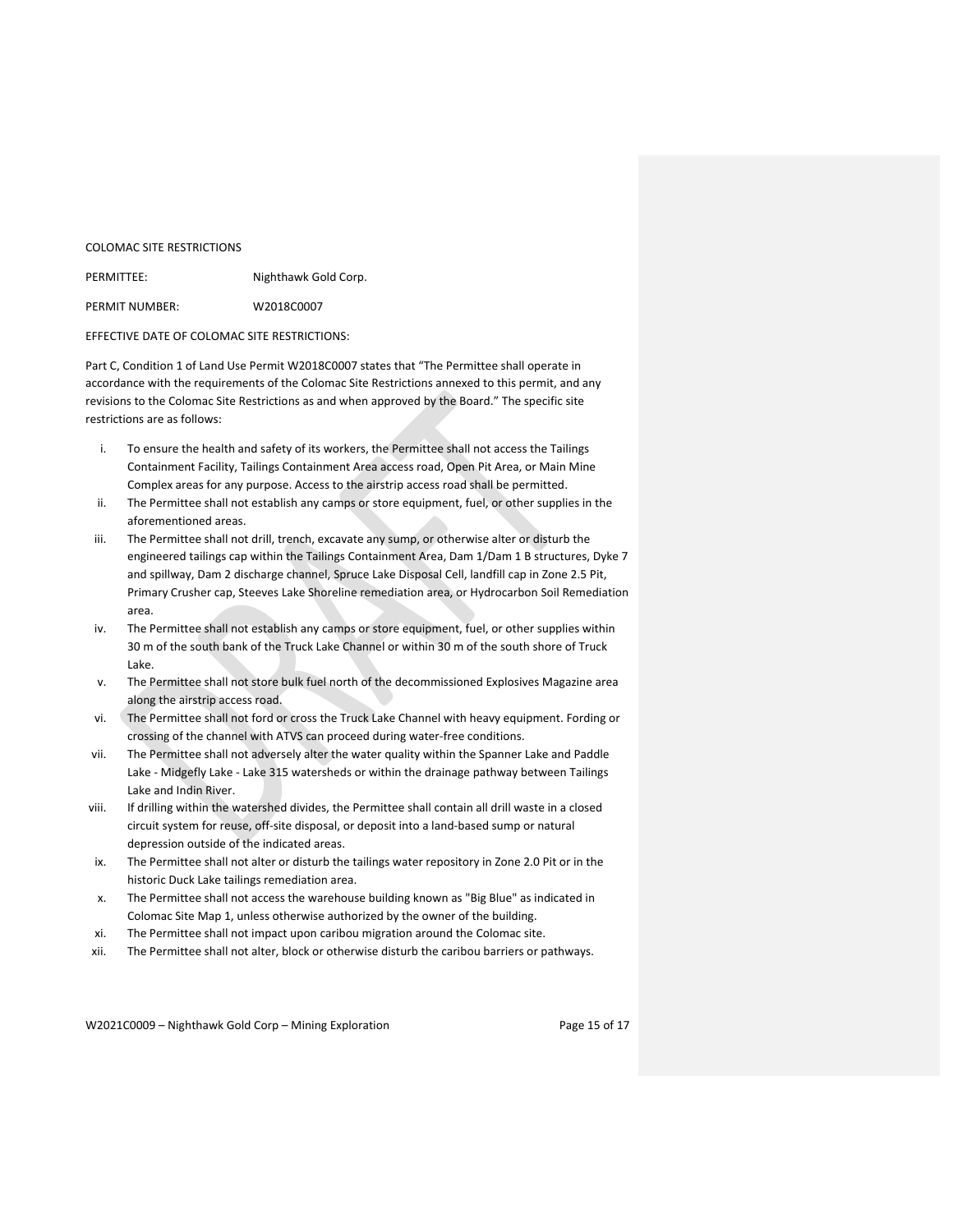#### COLOMAC SITE RESTRICTIONS

| PERMITTEE:     | Nighthawk Gold Corp. |
|----------------|----------------------|
| PERMIT NUMBER: | W2018C0007           |

### EFFECTIVE DATE OF COLOMAC SITE RESTRICTIONS:

Part C, Condition 1 of Land Use Permit W2018C0007 states that "The Permittee shall operate in accordance with the requirements of the Colomac Site Restrictions annexed to this permit, and any revisions to the Colomac Site Restrictions as and when approved by the Board." The specific site restrictions are as follows:

- i. To ensure the health and safety of its workers, the Permittee shall not access the Tailings Containment Facility, Tailings Containment Area access road, Open Pit Area, or Main Mine Complex areas for any purpose. Access to the airstrip access road shall be permitted.
- ii. The Permittee shall not establish any camps or store equipment, fuel, or other supplies in the aforementioned areas.
- iii. The Permittee shall not drill, trench, excavate any sump, or otherwise alter or disturb the engineered tailings cap within the Tailings Containment Area, Dam 1/Dam 1 B structures, Dyke 7 and spillway, Dam 2 discharge channel, Spruce Lake Disposal Cell, landfill cap in Zone 2.5 Pit, Primary Crusher cap, Steeves Lake Shoreline remediation area, or Hydrocarbon Soil Remediation area.
- iv. The Permittee shall not establish any camps or store equipment, fuel, or other supplies within 30 m of the south bank of the Truck Lake Channel or within 30 m of the south shore of Truck Lake.
- v. The Permittee shall not store bulk fuel north of the decommissioned Explosives Magazine area along the airstrip access road.
- vi. The Permittee shall not ford or cross the Truck Lake Channel with heavy equipment. Fording or crossing of the channel with ATVS can proceed during water‐free conditions.
- vii. The Permittee shall not adversely alter the water quality within the Spanner Lake and Paddle Lake - Midgefly Lake - Lake 315 watersheds or within the drainage pathway between Tailings Lake and Indin River.
- viii. If drilling within the watershed divides, the Permittee shall contain all drill waste in a closed circuit system for reuse, off‐site disposal, or deposit into a land‐based sump or natural depression outside of the indicated areas.
- ix. The Permittee shall not alter or disturb the tailings water repository in Zone 2.0 Pit or in the historic Duck Lake tailings remediation area.
- x. The Permittee shall not access the warehouse building known as "Big Blue" as indicated in Colomac Site Map 1, unless otherwise authorized by the owner of the building.
- xi. The Permittee shall not impact upon caribou migration around the Colomac site.
- xii. The Permittee shall not alter, block or otherwise disturb the caribou barriers or pathways.

W2021C0009 - Nighthawk Gold Corp - Mining Exploration Page 15 of 17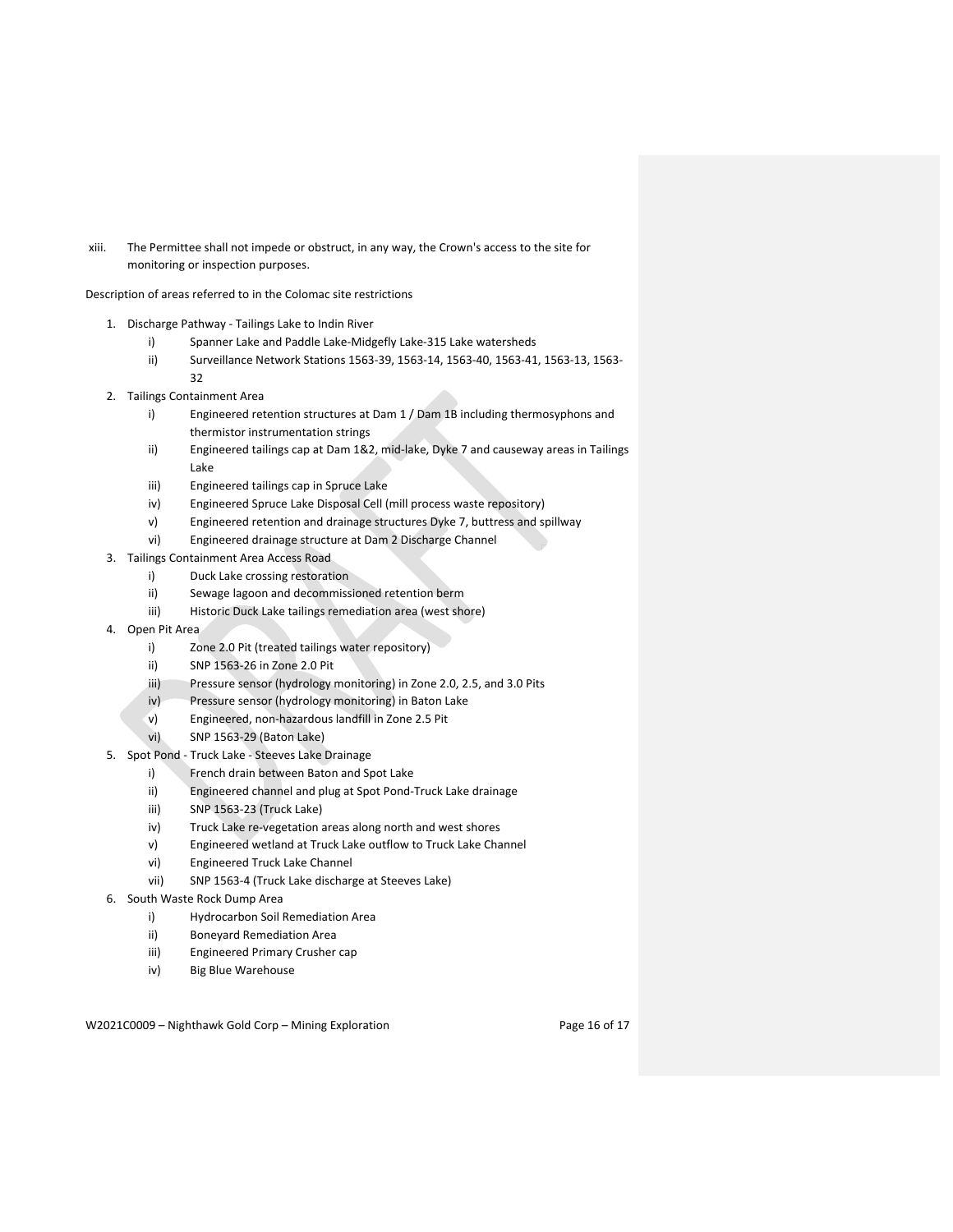xiii. The Permittee shall not impede or obstruct, in any way, the Crown's access to the site for monitoring or inspection purposes.

Description of areas referred to in the Colomac site restrictions

- 1. Discharge Pathway ‐ Tailings Lake to Indin River
	- i) Spanner Lake and Paddle Lake‐Midgefly Lake‐315 Lake watersheds
	- ii) Surveillance Network Stations 1563‐39, 1563‐14, 1563‐40, 1563‐41, 1563‐13, 1563‐ 32
- 2. Tailings Containment Area
	- i) Engineered retention structures at Dam 1 / Dam 1B including thermosyphons and thermistor instrumentation strings
	- ii) Engineered tailings cap at Dam 1&2, mid-lake, Dyke 7 and causeway areas in Tailings Lake
	- iii) Engineered tailings cap in Spruce Lake
	- iv) Engineered Spruce Lake Disposal Cell (mill process waste repository)
	- v) Engineered retention and drainage structures Dyke 7, buttress and spillway
	- vi) Engineered drainage structure at Dam 2 Discharge Channel
- 3. Tailings Containment Area Access Road
	- i) Duck Lake crossing restoration
	- ii) Sewage lagoon and decommissioned retention berm
	- iii) Historic Duck Lake tailings remediation area (west shore)
- 4. Open Pit Area
	- i) Zone 2.0 Pit (treated tailings water repository)
	- ii) SNP 1563‐26 in Zone 2.0 Pit
	- iii) Pressure sensor (hydrology monitoring) in Zone 2.0, 2.5, and 3.0 Pits
	- iv) Pressure sensor (hydrology monitoring) in Baton Lake
	- v) Engineered, non‐hazardous landfill in Zone 2.5 Pit
	- vi) SNP 1563‐29 (Baton Lake)
- 5. Spot Pond ‐ Truck Lake ‐ Steeves Lake Drainage
	- i) French drain between Baton and Spot Lake
	- ii) Engineered channel and plug at Spot Pond‐Truck Lake drainage
	- iii) SNP 1563‐23 (Truck Lake)
	- iv) Truck Lake re-vegetation areas along north and west shores
	- v) Engineered wetland at Truck Lake outflow to Truck Lake Channel
	- vi) Engineered Truck Lake Channel
	- vii) SNP 1563‐4 (Truck Lake discharge at Steeves Lake)
- 6. South Waste Rock Dump Area
	- i) Hydrocarbon Soil Remediation Area
	- ii) Boneyard Remediation Area
	- iii) Engineered Primary Crusher cap
	- iv) Big Blue Warehouse

W2021C0009 – Nighthawk Gold Corp – Mining Exploration Page 16 of 17